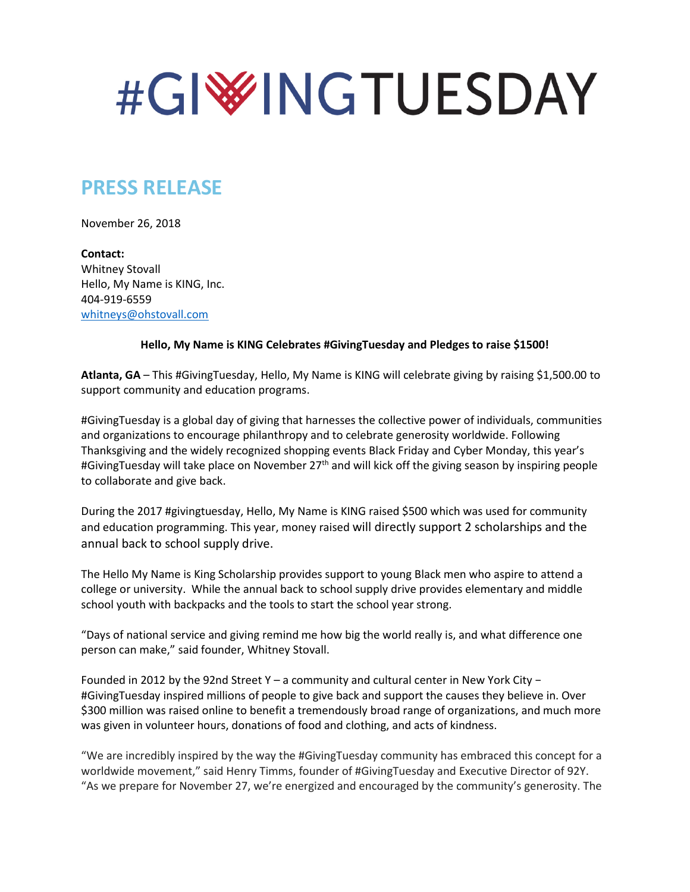# #GIWINGTUESDAY

## **PRESS RELEASE**

November 26, 2018

**Contact:**  Whitney Stovall Hello, My Name is KING, Inc. 404-919-6559 [whitneys@ohstovall.com](mailto:whitneys@ohstovall.com)

#### **Hello, My Name is KING Celebrates #GivingTuesday and Pledges to raise \$1500!**

**Atlanta, GA** – This #GivingTuesday, Hello, My Name is KING will celebrate giving by raising \$1,500.00 to support community and education programs.

#GivingTuesday is a global day of giving that harnesses the collective power of individuals, communities and organizations to encourage philanthropy and to celebrate generosity worldwide. Following Thanksgiving and the widely recognized shopping events Black Friday and Cyber Monday, this year's #GivingTuesday will take place on November 27<sup>th</sup> and will kick off the giving season by inspiring people to collaborate and give back.

During the 2017 #givingtuesday, Hello, My Name is KING raised \$500 which was used for community and education programming. This year, money raised will directly support 2 scholarships and the annual back to school supply drive.

The Hello My Name is King Scholarship provides support to young Black men who aspire to attend a college or university. While the annual back to school supply drive provides elementary and middle school youth with backpacks and the tools to start the school year strong.

"Days of national service and giving remind me how big the world really is, and what difference one person can make," said founder, Whitney Stovall.

Founded in 2012 by the 92nd Street Y – a community and cultural center in New York City − #GivingTuesday inspired millions of people to give back and support the causes they believe in. Over \$300 million was raised online to benefit a tremendously broad range of organizations, and much more was given in volunteer hours, donations of food and clothing, and acts of kindness.

"We are incredibly inspired by the way the #GivingTuesday community has embraced this concept for a worldwide movement," said Henry Timms, founder of #GivingTuesday and Executive Director of 92Y. "As we prepare for November 27, we're energized and encouraged by the community's generosity. The